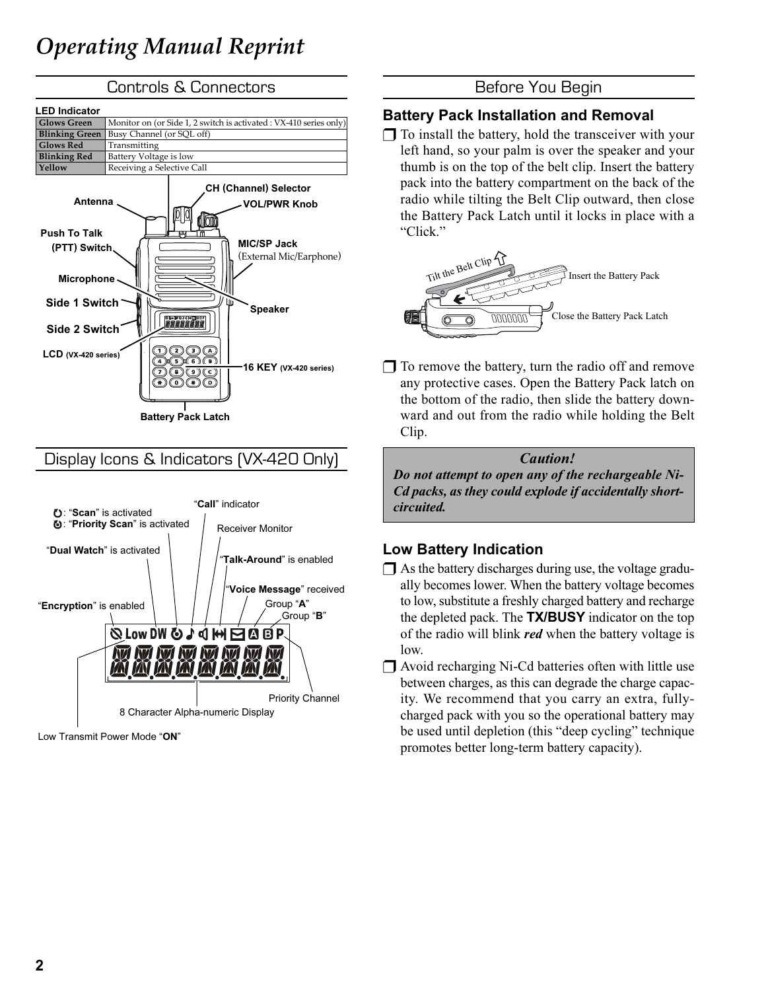

| <b>LED Indicator</b>           |                                                                   |  |  |
|--------------------------------|-------------------------------------------------------------------|--|--|
| <b>Glows Green</b>             | Monitor on (or Side 1, 2 switch is activated: VX-410 series only) |  |  |
| <b>Blinking Green</b>          | Busy Channel (or SQL off)                                         |  |  |
| <b>Glows Red</b>               | Transmitting                                                      |  |  |
| <b>Blinking Red</b>            | Battery Voltage is low                                            |  |  |
| Yellow                         | Receiving a Selective Call                                        |  |  |
| Antenna<br><b>Puch To Talk</b> | <b>CH (Channel) Selector</b><br><b>VOL/PWR Knob</b><br>ш          |  |  |



# Display Icons & Indicators (VX-420 Only)



Low Transmit Power Mode "ON"

### Battery Pack Installation and Removal

 $\Box$  To install the battery, hold the transceiver with your left hand, so your palm is over the speaker and your thumb is on the top of the belt clip. Insert the battery pack into the battery compartment on the back of the radio while tilting the Belt Clip outward, then close the Battery Pack Latch until it locks in place with a "Click."



 $\Box$  To remove the battery, turn the radio off and remove any protective cases. Open the Battery Pack latch on the bottom of the radio, then slide the battery downward and out from the radio while holding the Belt Clip.

Caution! Do not attempt to open any of the rechargeable Ni-Cd packs, as they could explode if accidentally shortcircuited.

# Low Battery Indication

- ❒ As the battery discharges during use, the voltage gradually becomes lower. When the battery voltage becomes to low, substitute a freshly charged battery and recharge the depleted pack. The **TX/BUSY** indicator on the top of the radio will blink *red* when the battery voltage is low.
- ❒ Avoid recharging Ni-Cd batteries often with little use between charges, as this can degrade the charge capacity. We recommend that you carry an extra, fullycharged pack with you so the operational battery may be used until depletion (this "deep cycling" technique promotes better long-term battery capacity).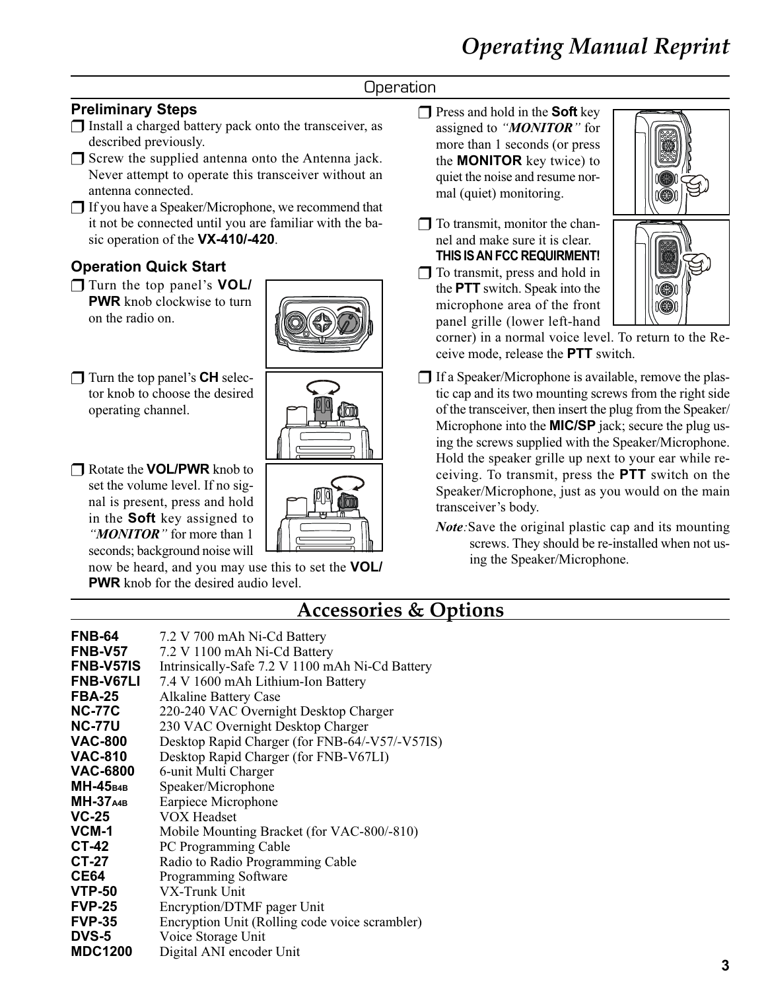# **Operation**

# Preliminary Steps

- ❒ Install a charged battery pack onto the transceiver, as described previously.
- ❒ Screw the supplied antenna onto the Antenna jack. Never attempt to operate this transceiver without an antenna connected.
- ❒ If you have a Speaker/Microphone, we recommend that it not be connected until you are familiar with the basic operation of the VX-410/-420.

# Operation Quick Start

❒ Turn the top panel's VOL/ **PWR** knob clockwise to turn on the radio on.



- ❒ Turn the top panel's CH selector knob to choose the desired operating channel.
- ❒ Rotate the VOL/PWR knob to set the volume level. If no signal is present, press and hold in the Soft key assigned to "**MONITOR**" for more than 1 seconds; background noise will

now be heard, and you may use this to set the VOL/ **PWR** knob for the desired audio level.

- $\Box$  Press and hold in the **Soft** key assigned to "**MONITOR**" for more than 1 seconds (or press the MONITOR key twice) to quiet the noise and resume normal (quiet) monitoring.
- $\Box$  To transmit, monitor the channel and make sure it is clear. THIS IS AN FCC REQUIRMENT!
- ❒ To transmit, press and hold in the PTT switch. Speak into the microphone area of the front panel grille (lower left-hand



corner) in a normal voice level. To return to the Receive mode, release the PTT switch.

- ❒ If a Speaker/Microphone is available, remove the plastic cap and its two mounting screws from the right side of the transceiver, then insert the plug from the Speaker/ Microphone into the **MIC/SP** jack; secure the plug using the screws supplied with the Speaker/Microphone. Hold the speaker grille up next to your ear while receiving. To transmit, press the PTT switch on the Speaker/Microphone, just as you would on the main transceiver's body.
	- Note: Save the original plastic cap and its mounting screws. They should be re-installed when not using the Speaker/Microphone.

# Accessories & Options

| <b>FNB-64</b>    | 7.2 V 700 mAh Ni-Cd Battery                     |
|------------------|-------------------------------------------------|
| <b>FNB-V57</b>   | 7.2 V 1100 mAh Ni-Cd Battery                    |
| <b>FNB-V57IS</b> | Intrinsically-Safe 7.2 V 1100 mAh Ni-Cd Battery |
| <b>FNB-V67LI</b> | 7.4 V 1600 mAh Lithium-Ion Battery              |
| <b>FBA-25</b>    | <b>Alkaline Battery Case</b>                    |
| <b>NC-77C</b>    | 220-240 VAC Overnight Desktop Charger           |
| <b>NC-77U</b>    | 230 VAC Overnight Desktop Charger               |
| <b>VAC-800</b>   | Desktop Rapid Charger (for FNB-64/-V57/-V57IS)  |
| <b>VAC-810</b>   | Desktop Rapid Charger (for FNB-V67LI)           |
| <b>VAC-6800</b>  | 6-unit Multi Charger                            |
| $MH-45_{B4B}$    | Speaker/Microphone                              |
| <b>MH-37</b> A4B | Earpiece Microphone                             |
| $VC-25$          | <b>VOX Headset</b>                              |
| VCM-1            | Mobile Mounting Bracket (for VAC-800/-810)      |
| <b>CT-42</b>     | PC Programming Cable                            |
| CT-27            | Radio to Radio Programming Cable                |
| <b>CE64</b>      | Programming Software                            |
| <b>VTP-50</b>    | VX-Trunk Unit                                   |
| <b>FVP-25</b>    | Encryption/DTMF pager Unit                      |
| <b>FVP-35</b>    | Encryption Unit (Rolling code voice scrambler)  |
| <b>DVS-5</b>     | Voice Storage Unit                              |
| <b>MDC1200</b>   | Digital ANI encoder Unit                        |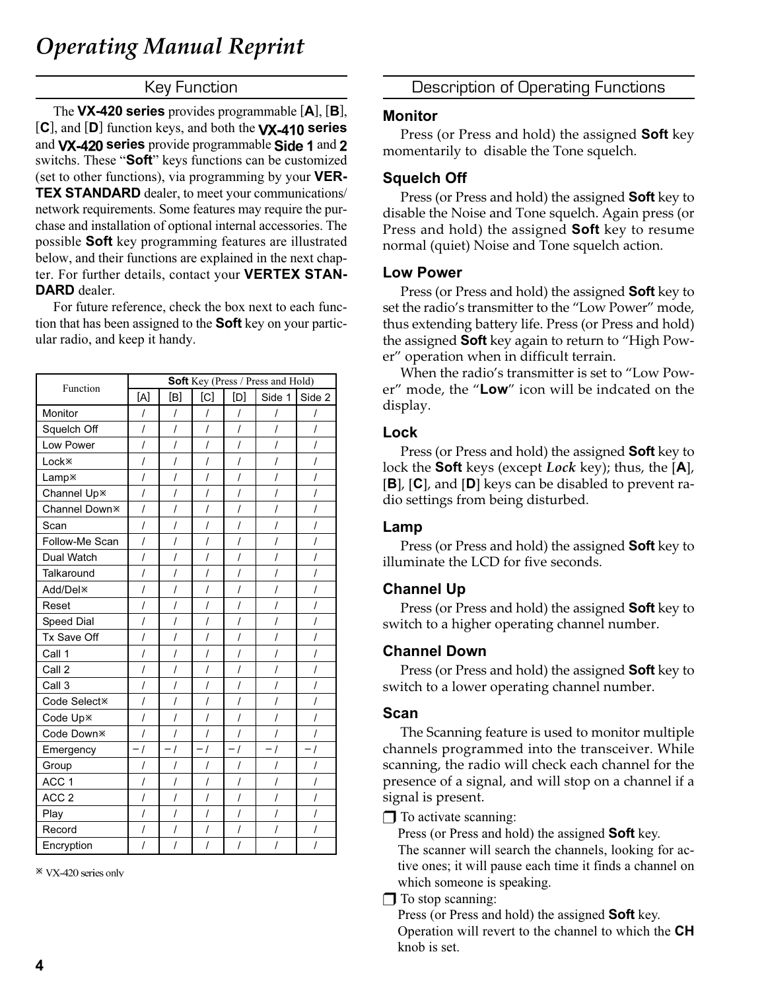#### Key Function

The VX-420 series provides programmable [A], [B],  $[C]$ , and  $[D]$  function keys, and both the  $VX-410$  series and VX-420 series provide programmable Side 1 and 2 switchs. These "Soft" keys functions can be customized (set to other functions), via programming by your  $VER-$ TEX STANDARD dealer, to meet your communications/ network requirements. Some features may require the purchase and installation of optional internal accessories. The possible **Soft** key programming features are illustrated below, and their functions are explained in the next chapter. For further details, contact your VERTEX STAN-DARD dealer.

For future reference, check the box next to each function that has been assigned to the **Soft** key on your particular radio, and keep it handy.

| Function                  | <b>Soft</b> Key (Press / Press and Hold) |                |                                              |                |                     |                                            |
|---------------------------|------------------------------------------|----------------|----------------------------------------------|----------------|---------------------|--------------------------------------------|
|                           | [A]                                      | [B]            | [C]                                          | [D]            | Side 1              | Side 2                                     |
| Monitor                   | $\overline{I}$                           | $\overline{I}$ | I                                            | I              | $\overline{I}$      | I                                          |
| Squelch Off               | $\overline{I}$                           | $\prime$       | $\prime$                                     | I              | $\overline{I}$      | I                                          |
| Low Power                 | $\overline{I}$                           | I              | $\overline{I}$                               | $\overline{I}$ | $\overline{I}$      | $\prime$                                   |
| Lock <sup>*</sup>         | $\prime$                                 | I              | $\prime$                                     | $\prime$       | $\prime$            | $\prime$                                   |
| Lamp <sup>*</sup>         | $\overline{I}$                           | I              | $\prime$                                     | $\overline{I}$ | $\overline{I}$      | $\prime$                                   |
| Channel Up <sup>*</sup>   | $\overline{I}$                           | I              | $\prime$                                     | $\overline{I}$ | $\prime$            | $\prime$                                   |
| Channel Down <sup>*</sup> | $\overline{I}$                           | $\overline{I}$ | $\overline{I}$                               | $\overline{I}$ | $\overline{I}$      | $\prime$                                   |
| Scan                      | $\overline{I}$                           | I              | $\prime$                                     | $\overline{I}$ | $\prime$            | $\prime$                                   |
| Follow-Me Scan            | $\overline{I}$                           | $\overline{I}$ | $\overline{I}$                               | $\overline{I}$ | $\overline{I}$      | $\overline{I}$                             |
| Dual Watch                | $\overline{I}$                           | $\overline{I}$ | $\overline{I}$                               | $\overline{I}$ | $\overline{I}$      | $\overline{I}$                             |
| Talkaround                | $\overline{I}$                           | $\overline{I}$ | $\overline{I}$                               | $\overline{I}$ | $\overline{I}$      | $\overline{I}$                             |
| Add/Del <sup>*</sup>      | $\overline{I}$                           | $\overline{I}$ | $\overline{I}$                               | $\overline{I}$ | $\overline{I}$      | $\overline{I}$                             |
| Reset                     | $\overline{I}$                           | $\overline{I}$ | $\overline{I}$                               | $\overline{I}$ | $\overline{I}$      | $\overline{I}$                             |
| Speed Dial                | $\overline{I}$                           | $\overline{I}$ | $\overline{I}$                               | $\overline{I}$ | $\overline{I}$      | $\overline{I}$                             |
| Tx Save Off               | $\overline{I}$                           | $\overline{I}$ | $\cal I$                                     | $\cal I$       | $\overline{I}$      | $\overline{I}$                             |
| Call 1                    | $\overline{I}$                           | $\overline{I}$ | $\overline{I}$                               | $\overline{I}$ | $\prime$            | $\overline{I}$                             |
| Call 2                    | $\overline{I}$                           | $\overline{I}$ | $\overline{I}$                               | $\overline{I}$ | $\overline{I}$      | $\overline{I}$                             |
| Call 3                    | $\overline{I}$                           | $\overline{I}$ | $\overline{I}$                               | $\overline{I}$ | $\overline{I}$      | $\overline{I}$                             |
| Code Select <sup>*</sup>  | $\overline{I}$                           | $\overline{I}$ | $\overline{I}$                               | $\overline{I}$ | $\overline{I}$      | $\overline{I}$                             |
| Code Up*                  | $\overline{I}$                           | $\overline{I}$ | $\overline{I}$                               | $\overline{I}$ | $\overline{I}$      | $\prime$                                   |
| Code Down <sup>*</sup>    | $\overline{I}$                           | $\cal I$       | $\cal I$                                     | $\overline{I}$ | $\overline{I}$      | $\cal I$                                   |
| Emergency                 | $-1$                                     | $\sqrt{ }$     | $\boldsymbol{I}$<br>$\overline{\phantom{0}}$ | $-1$           | $\overline{I}$<br>- | $\overline{I}$<br>$\overline{\phantom{0}}$ |
| Group                     | $\overline{I}$                           | I              | $\prime$                                     | $\prime$       | $\prime$            | I                                          |
| ACC <sub>1</sub>          | $\prime$                                 | $\overline{I}$ | $\overline{I}$                               | $\overline{I}$ | $\overline{I}$      | $\prime$                                   |
| ACC <sub>2</sub>          | $\overline{I}$                           | $\overline{I}$ | $\cal I$                                     | $\cal I$       | $\overline{I}$      | $\cal I$                                   |
| Play                      | $\prime$                                 | I              | $\overline{I}$                               | $\overline{I}$ | $\overline{I}$      | $\overline{I}$                             |
| Record                    | $\cal I$                                 | $\cal I$       | $\cal I$                                     | $\cal I$       | $\prime$            | $\prime$                                   |
| Encryption                | $\overline{I}$                           | I              | $\overline{I}$                               | $\overline{I}$ | $\overline{I}$      | I                                          |

\* VX-420 series only

Description of Operating Functions

#### Monitor

Press (or Press and hold) the assigned **Soft** key momentarily to disable the Tone squelch.

#### Squelch Off

Press (or Press and hold) the assigned **Soft** key to disable the Noise and Tone squelch. Again press (or Press and hold) the assigned **Soft** key to resume normal (quiet) Noise and Tone squelch action.

#### Low Power

Press (or Press and hold) the assigned **Soft** key to set the radio's transmitter to the "Low Power" mode, thus extending battery life. Press (or Press and hold) the assigned Soft key again to return to "High Power" operation when in difficult terrain.

When the radio's transmitter is set to "Low Power" mode, the "Low" icon will be indcated on the display.

#### Lock

Press (or Press and hold) the assigned **Soft** key to lock the **Soft** keys (except *Lock* key); thus, the [A], [B], [C], and [D] keys can be disabled to prevent radio settings from being disturbed.

#### Lamp

Press (or Press and hold) the assigned **Soft** key to illuminate the LCD for five seconds.

### Channel Up

Press (or Press and hold) the assigned **Soft** key to switch to a higher operating channel number.

#### Channel Down

Press (or Press and hold) the assigned **Soft** key to switch to a lower operating channel number.

#### Scan

The Scanning feature is used to monitor multiple channels programmed into the transceiver. While scanning, the radio will check each channel for the presence of a signal, and will stop on a channel if a signal is present.

❒ To activate scanning:

Press (or Press and hold) the assigned Soft key.

The scanner will search the channels, looking for active ones; it will pause each time it finds a channel on which someone is speaking.

 $\Box$  To stop scanning:

Press (or Press and hold) the assigned Soft key. Operation will revert to the channel to which the CH knob is set.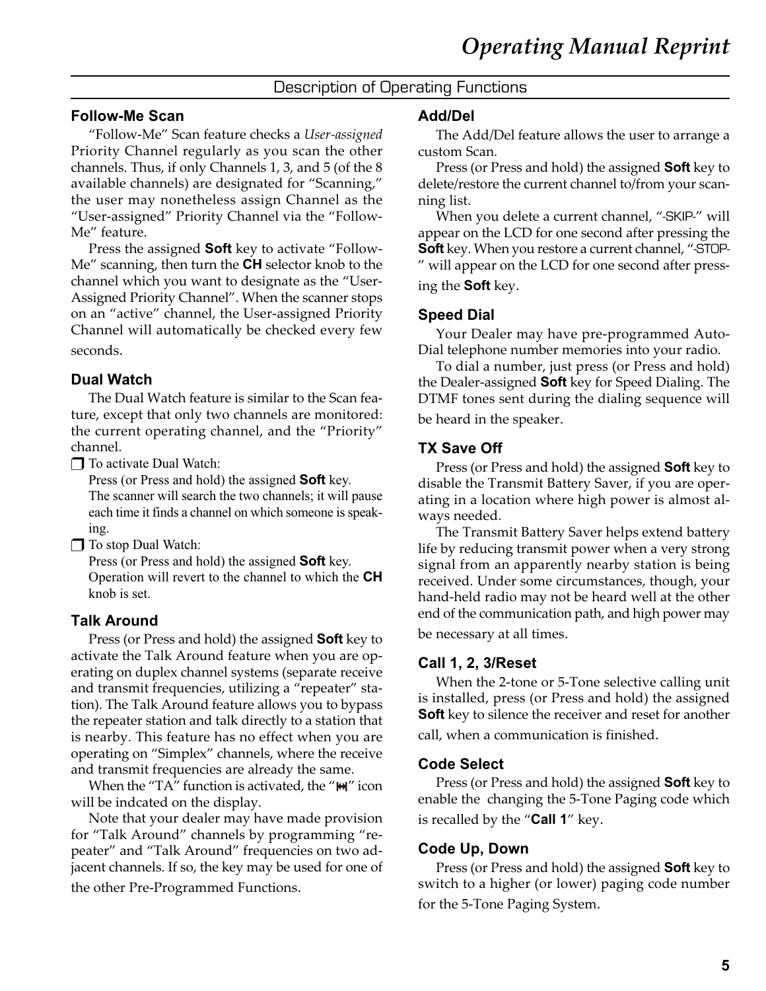# Description of Operating Functions

#### Follow-Me Scan

"Follow-Me" Scan feature checks a User-assigned Priority Channel regularly as you scan the other channels. Thus, if only Channels 1, 3, and 5 (of the 8 available channels) are designated for "Scanning," the user may nonetheless assign Channel as the "User-assigned" Priority Channel via the "Follow-Me" feature.

Press the assigned **Soft** key to activate "Follow-Me" scanning, then turn the **CH** selector knob to the channel which you want to designate as the "User-Assigned Priority Channel". When the scanner stops on an "active" channel, the User-assigned Priority Channel will automatically be checked every few seconds.

#### Dual Watch

The Dual Watch feature is similar to the Scan feature, except that only two channels are monitored: the current operating channel, and the "Priority" channel.

❒ To activate Dual Watch:

Press (or Press and hold) the assigned **Soft** key. The scanner will search the two channels; it will pause each time it finds a channel on which someone is speaking.

❒ To stop Dual Watch:

Press (or Press and hold) the assigned **Soft** key. Operation will revert to the channel to which the CH knob is set.

#### Talk Around

Press (or Press and hold) the assigned Soft key to activate the Talk Around feature when you are operating on duplex channel systems (separate receive and transmit frequencies, utilizing a "repeater" station). The Talk Around feature allows you to bypass the repeater station and talk directly to a station that is nearby. This feature has no effect when you are operating on "Simplex" channels, where the receive and transmit frequencies are already the same.

When the "TA" function is activated, the " $M$ " icon will be indcated on the display.

Note that your dealer may have made provision for "Talk Around" channels by programming "repeater" and "Talk Around" frequencies on two adjacent channels. If so, the key may be used for one of the other Pre-Programmed Functions.

#### Add/Del

The Add/Del feature allows the user to arrange a custom Scan.

Press (or Press and hold) the assigned **Soft** key to delete/restore the current channel to/from your scanning list.

When you delete a current channel, "-SKIP-" will appear on the LCD for one second after pressing the Soft key. When you restore a current channel, "-STOP-" will appear on the LCD for one second after pressing the Soft key.

#### Speed Dial

Your Dealer may have pre-programmed Auto-Dial telephone number memories into your radio.

To dial a number, just press (or Press and hold) the Dealer-assigned **Soft** key for Speed Dialing. The DTMF tones sent during the dialing sequence will be heard in the speaker.

#### TX Save Off

Press (or Press and hold) the assigned **Soft** key to disable the Transmit Battery Saver, if you are operating in a location where high power is almost always needed.

The Transmit Battery Saver helps extend battery life by reducing transmit power when a very strong signal from an apparently nearby station is being received. Under some circumstances, though, your hand-held radio may not be heard well at the other end of the communication path, and high power may be necessary at all times.

#### Call 1, 2, 3/Reset

When the 2-tone or 5-Tone selective calling unit is installed, press (or Press and hold) the assigned **Soft** key to silence the receiver and reset for another call, when a communication is finished.

#### Code Select

Press (or Press and hold) the assigned **Soft** key to enable the changing the 5-Tone Paging code which is recalled by the "Call 1" key.

#### Code Up, Down

Press (or Press and hold) the assigned **Soft** key to switch to a higher (or lower) paging code number for the 5-Tone Paging System.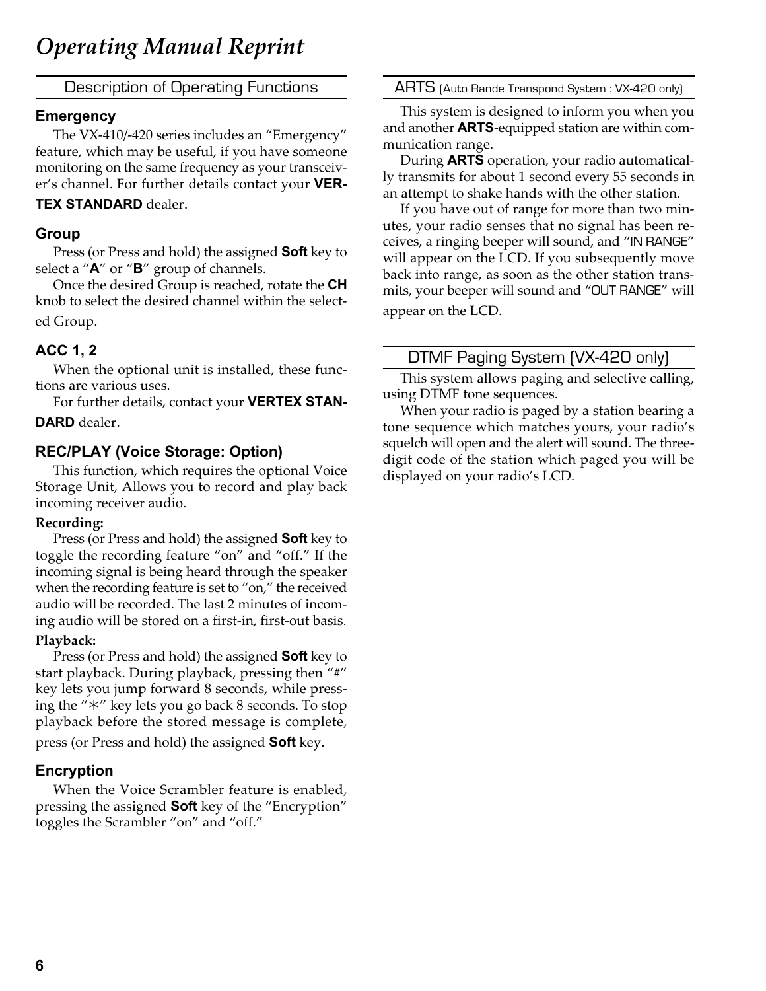Description of Operating Functions

#### **Emergency**

The VX-410/-420 series includes an "Emergency" feature, which may be useful, if you have someone monitoring on the same frequency as your transceiver's channel. For further details contact your VER-

#### TEX STANDARD dealer.

#### Group

Press (or Press and hold) the assigned **Soft** key to select a "**A**" or "**B**" group of channels.

Once the desired Group is reached, rotate the CH knob to select the desired channel within the selected Group.

# ACC 1, 2

When the optional unit is installed, these functions are various uses.

For further details, contact your VERTEX STAN-DARD dealer.

### REC/PLAY (Voice Storage: Option)

This function, which requires the optional Voice Storage Unit, Allows you to record and play back incoming receiver audio.

#### Recording:

Press (or Press and hold) the assigned **Soft** key to toggle the recording feature "on" and "off." If the incoming signal is being heard through the speaker when the recording feature is set to "on," the received audio will be recorded. The last 2 minutes of incoming audio will be stored on a first-in, first-out basis.

#### Playback:

Press (or Press and hold) the assigned Soft key to start playback. During playback, pressing then "#" key lets you jump forward 8 seconds, while pressing the " $*$ " key lets you go back 8 seconds. To stop playback before the stored message is complete,

press (or Press and hold) the assigned **Soft** key.

# Encryption

When the Voice Scrambler feature is enabled, pressing the assigned **Soft** key of the "Encryption" toggles the Scrambler "on" and "off."

ARTS (Auto Rande Transpond System : VX-420 only)

This system is designed to inform you when you and another **ARTS**-equipped station are within communication range.

During ARTS operation, your radio automatically transmits for about 1 second every 55 seconds in an attempt to shake hands with the other station.

If you have out of range for more than two minutes, your radio senses that no signal has been receives, a ringing beeper will sound, and "IN RANGE" will appear on the LCD. If you subsequently move back into range, as soon as the other station transmits, your beeper will sound and "OUT RANGE" will appear on the LCD.

# DTMF Paging System (VX-420 only)

This system allows paging and selective calling, using DTMF tone sequences.

When your radio is paged by a station bearing a tone sequence which matches yours, your radio's squelch will open and the alert will sound. The threedigit code of the station which paged you will be displayed on your radio's LCD.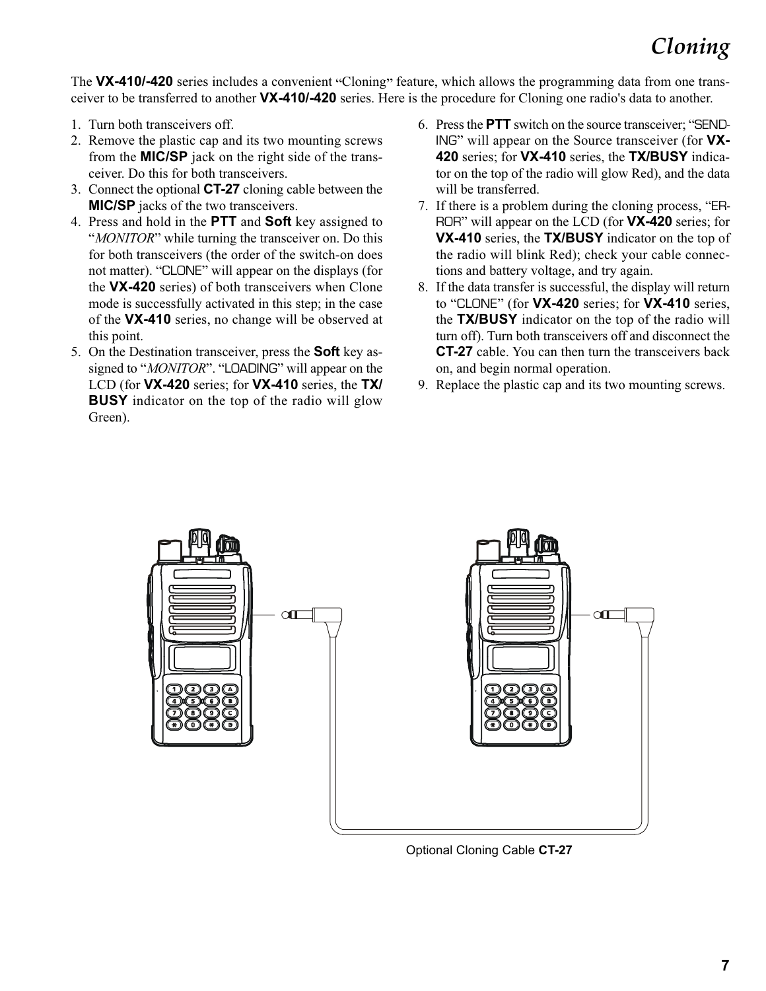# Cloning

The VX-410/-420 series includes a convenient "Cloning" feature, which allows the programming data from one transceiver to be transferred to another **VX-410/-420** series. Here is the procedure for Cloning one radio's data to another.

- 1. Turn both transceivers off.
- 2. Remove the plastic cap and its two mounting screws from the MIC/SP jack on the right side of the transceiver. Do this for both transceivers.
- 3. Connect the optional CT-27 cloning cable between the **MIC/SP** jacks of the two transceivers.
- 4. Press and hold in the PTT and Soft key assigned to "*MONITOR*" while turning the transceiver on. Do this for both transceivers (the order of the switch-on does not matter). "CLONE" will appear on the displays (for the VX-420 series) of both transceivers when Clone mode is successfully activated in this step; in the case of the VX-410 series, no change will be observed at this point.
- 5. On the Destination transceiver, press the **Soft** key assigned to "MONITOR". "LOADING" will appear on the LCD (for VX-420 series; for VX-410 series, the TX/ **BUSY** indicator on the top of the radio will glow Green).
- 6. Press the PTT switch on the source transceiver; "SEND-ING" will appear on the Source transceiver (for VX-420 series; for VX-410 series, the TX/BUSY indicator on the top of the radio will glow Red), and the data will be transferred.
- 7. If there is a problem during the cloning process, "ER-ROR" will appear on the LCD (for **VX-420** series; for VX-410 series, the TX/BUSY indicator on the top of the radio will blink Red); check your cable connections and battery voltage, and try again.
- 8. If the data transfer is successful, the display will return to "CLONE" (for **VX-420** series; for **VX-410** series, the **TX/BUSY** indicator on the top of the radio will turn off). Turn both transceivers off and disconnect the CT-27 cable. You can then turn the transceivers back on, and begin normal operation.
- 9. Replace the plastic cap and its two mounting screws.



Optional Cloning Cable CT-27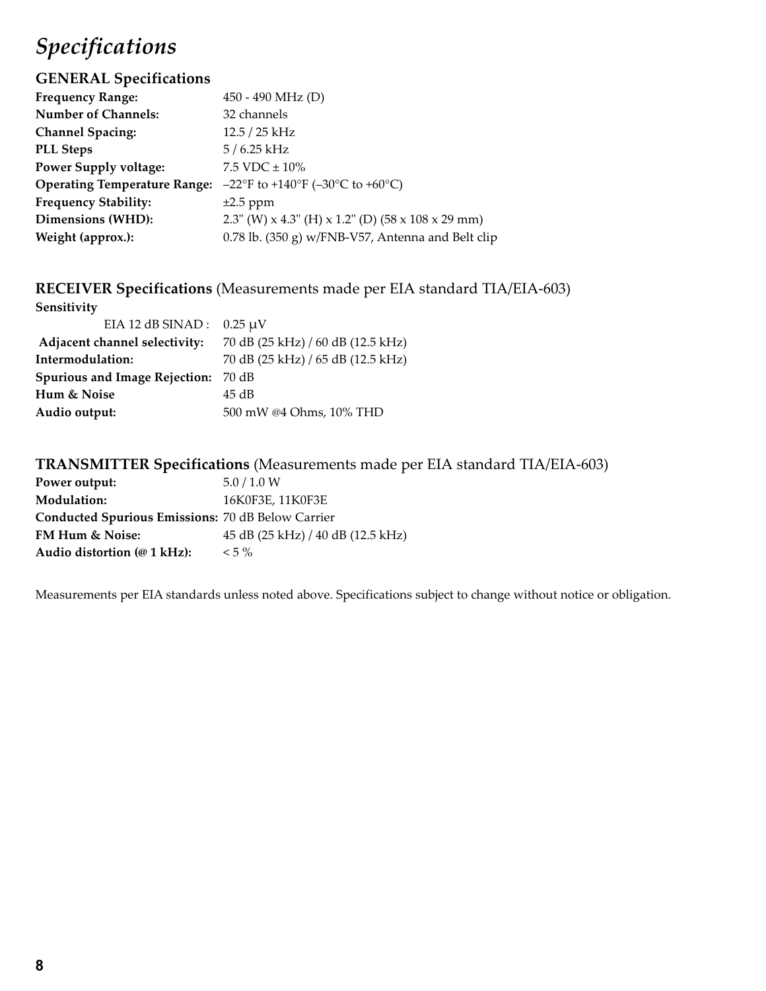# Specifications

# GENERAL Specifications

| 450 - 490 MHz (D)                                   |
|-----------------------------------------------------|
| 32 channels                                         |
| $12.5 / 25$ kHz                                     |
| $5/6.25$ kHz                                        |
| 7.5 VDC $\pm$ 10%                                   |
| $-22^{\circ}$ F to +140°F (-30°C to +60°C)          |
| $\pm 2.5$ ppm                                       |
| 2.3" (W) x 4.3" (H) x 1.2" (D) (58 x 108 x 29 mm)   |
| $0.78$ lb. (350 g) w/FNB-V57, Antenna and Belt clip |
|                                                     |

RECEIVER Specifications (Measurements made per EIA standard TIA/EIA-603)

| Sensitivity                          |                                   |  |  |  |
|--------------------------------------|-----------------------------------|--|--|--|
| EIA 12 dB SINAD: $0.25 \mu V$        |                                   |  |  |  |
| Adjacent channel selectivity:        | 70 dB (25 kHz) / 60 dB (12.5 kHz) |  |  |  |
| Intermodulation:                     | 70 dB (25 kHz) / 65 dB (12.5 kHz) |  |  |  |
| <b>Spurious and Image Rejection:</b> | 70 dB                             |  |  |  |
| Hum & Noise                          | 45 dB                             |  |  |  |
| Audio output:                        | 500 mW @4 Ohms, 10% THD           |  |  |  |
|                                      |                                   |  |  |  |

# TRANSMITTER Specifications (Measurements made per EIA standard TIA/EIA-603)

| Power output:                                            | 5.0 / 1.0 W                       |
|----------------------------------------------------------|-----------------------------------|
| <b>Modulation:</b>                                       | 16K0F3E, 11K0F3E                  |
| <b>Conducted Spurious Emissions: 70 dB Below Carrier</b> |                                   |
| FM Hum & Noise:                                          | 45 dB (25 kHz) / 40 dB (12.5 kHz) |
| Audio distortion $(\omega 1 \text{ kHz})$ :              | $< 5\%$                           |

Measurements per EIA standards unless noted above. Specifications subject to change without notice or obligation.